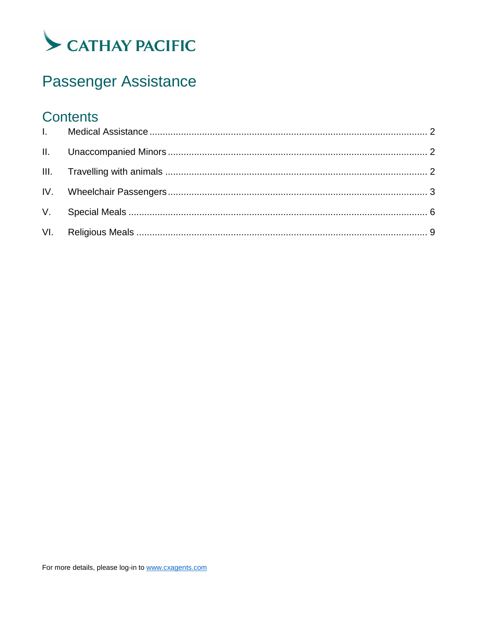

# Passenger Assistance

### **Contents**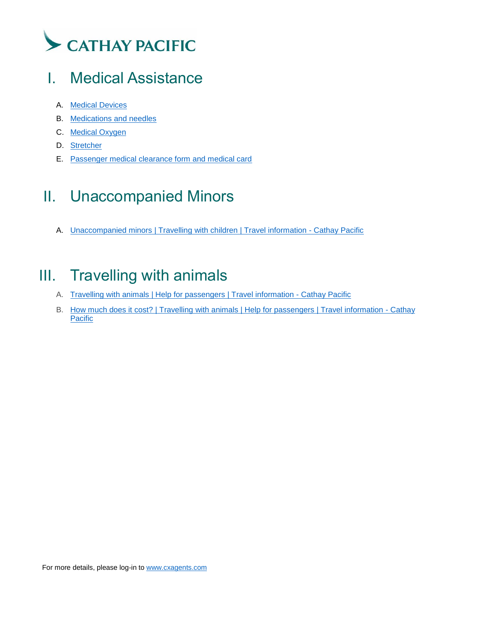

### <span id="page-1-0"></span>I. Medical Assistance

- A. [Medical Devices](https://www.cathaypacific.com/cx/en_US/prepare-trip/help-for-passengers/medical-assistance/medical-devices.html)
- B. [Medications and needles](https://www.cathaypacific.com/cx/en_US/prepare-trip/help-for-passengers/medical-assistance/medications-and-needles.html)
- C. [Medical Oxygen](https://www.cathaypacific.com/cx/en_US/prepare-trip/help-for-passengers/medical-assistance/medical-oxygen.html)
- D. [Stretcher](https://www.cathaypacific.com/cx/en_US/prepare-trip/help-for-passengers/medical-assistance/stretcher.html)
- E. [Passenger medical clearance form and medical card](https://www.cathaypacific.com/cx/en_US/prepare-trip/help-for-passengers/medical-assistance/passenger-medical-clearance-form-and-medical-card.html)

## <span id="page-1-1"></span>II. Unaccompanied Minors

A. [Unaccompanied minors | Travelling with children | Travel information -](https://www.cathaypacific.com/cx/en_US/prepare-trip/help-for-passengers/travelling-with-children/unaccompanied-minors.html) Cathay Pacific

### <span id="page-1-2"></span>III. Travelling with animals

- A. [Travelling with animals | Help for passengers | Travel information -](https://www.cathaypacific.com/cx/en_US/prepare-trip/help-for-passengers/travelling-with-animals/overview.html) Cathay Pacific
- B. [How much does it cost? | Travelling with animals | Help for passengers | Travel information -](https://www.cathaypacific.com/cx/en_US/prepare-trip/help-for-passengers/travelling-with-animals/calculate-cost.html) Cathay [Pacific](https://www.cathaypacific.com/cx/en_US/prepare-trip/help-for-passengers/travelling-with-animals/calculate-cost.html)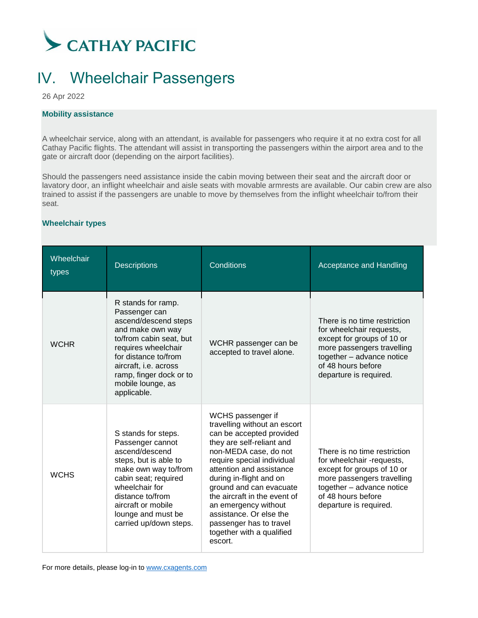

### <span id="page-2-0"></span>IV. Wheelchair Passengers

26 Apr 2022

#### **Mobility assistance**

A wheelchair service, along with an attendant, is available for passengers who require it at no extra cost for all Cathay Pacific flights. The attendant will assist in transporting the passengers within the airport area and to the gate or aircraft door (depending on the airport facilities).

Should the passengers need assistance inside the cabin moving between their seat and the aircraft door or lavatory door, an inflight wheelchair and aisle seats with movable armrests are available. Our cabin crew are also trained to assist if the passengers are unable to move by themselves from the inflight wheelchair to/from their seat.

#### **Wheelchair types**

| Wheelchair<br>types | <b>Descriptions</b>                                                                                                                                                                                                                               | <b>Conditions</b>                                                                                                                                                                                                                                                                                                                                                                                         | Acceptance and Handling                                                                                                                                                                            |
|---------------------|---------------------------------------------------------------------------------------------------------------------------------------------------------------------------------------------------------------------------------------------------|-----------------------------------------------------------------------------------------------------------------------------------------------------------------------------------------------------------------------------------------------------------------------------------------------------------------------------------------------------------------------------------------------------------|----------------------------------------------------------------------------------------------------------------------------------------------------------------------------------------------------|
| <b>WCHR</b>         | R stands for ramp.<br>Passenger can<br>ascend/descend steps<br>and make own way<br>to/from cabin seat, but<br>requires wheelchair<br>for distance to/from<br>aircraft, i.e. across<br>ramp, finger dock or to<br>mobile lounge, as<br>applicable. | WCHR passenger can be<br>accepted to travel alone.                                                                                                                                                                                                                                                                                                                                                        | There is no time restriction<br>for wheelchair requests,<br>except for groups of 10 or<br>more passengers travelling<br>together - advance notice<br>of 48 hours before<br>departure is required.  |
| <b>WCHS</b>         | S stands for steps.<br>Passenger cannot<br>ascend/descend<br>steps, but is able to<br>make own way to/from<br>cabin seat; required<br>wheelchair for<br>distance to/from<br>aircraft or mobile<br>lounge and must be<br>carried up/down steps.    | WCHS passenger if<br>travelling without an escort<br>can be accepted provided<br>they are self-reliant and<br>non-MEDA case, do not<br>require special individual<br>attention and assistance<br>during in-flight and on<br>ground and can evacuate<br>the aircraft in the event of<br>an emergency without<br>assistance. Or else the<br>passenger has to travel<br>together with a qualified<br>escort. | There is no time restriction<br>for wheelchair -requests,<br>except for groups of 10 or<br>more passengers travelling<br>together - advance notice<br>of 48 hours before<br>departure is required. |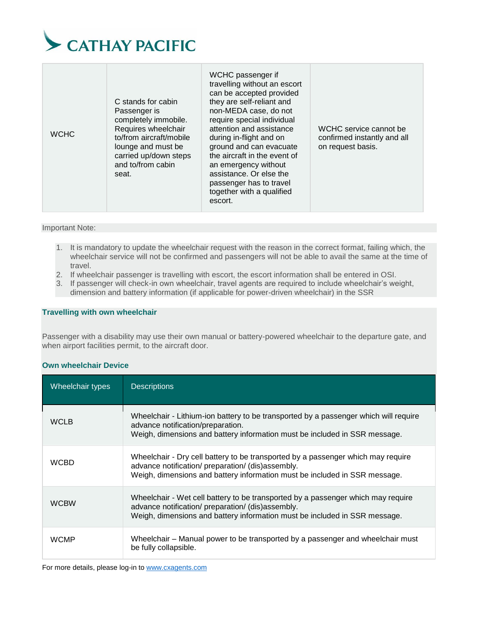

Important Note:

- 1. It is mandatory to update the wheelchair request with the reason in the correct format, failing which, the wheelchair service will not be confirmed and passengers will not be able to avail the same at the time of travel.
- 2. If wheelchair passenger is travelling with escort, the escort information shall be entered in OSI.
- 3. If passenger will check-in own wheelchair, travel agents are required to include wheelchair's weight, dimension and battery information (if applicable for power-driven wheelchair) in the SSR

#### **Travelling with own wheelchair**

Passenger with a disability may use their own manual or battery-powered wheelchair to the departure gate, and when airport facilities permit, to the aircraft door.

#### **Own wheelchair Device**

| Wheelchair types | <b>Descriptions</b>                                                                                                                                                                                                 |
|------------------|---------------------------------------------------------------------------------------------------------------------------------------------------------------------------------------------------------------------|
| <b>WCLB</b>      | Wheelchair - Lithium-ion battery to be transported by a passenger which will require<br>advance notification/preparation.<br>Weigh, dimensions and battery information must be included in SSR message.             |
| <b>WCBD</b>      | Wheelchair - Dry cell battery to be transported by a passenger which may require<br>advance notification/ preparation/ (dis)assembly.<br>Weigh, dimensions and battery information must be included in SSR message. |
| <b>WCBW</b>      | Wheelchair - Wet cell battery to be transported by a passenger which may require<br>advance notification/ preparation/ (dis)assembly.<br>Weigh, dimensions and battery information must be included in SSR message. |
| <b>WCMP</b>      | Wheelchair – Manual power to be transported by a passenger and wheelchair must<br>be fully collapsible.                                                                                                             |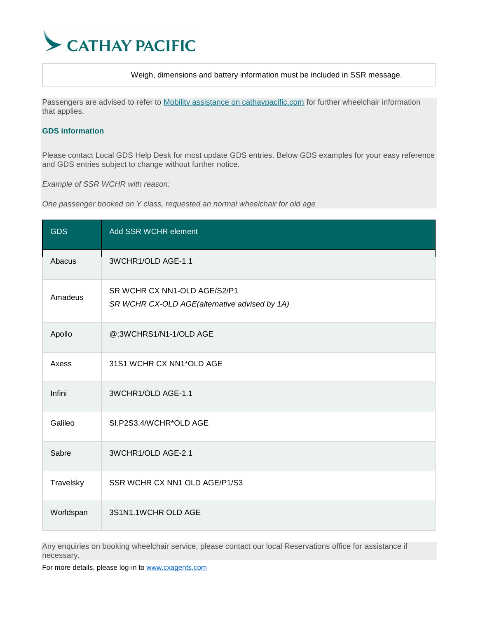

Weigh, dimensions and battery information must be included in SSR message.

Passengers are advised to refer to [Mobility assistance on cathaypacific.com](https://www.cathaypacific.com/cx/en_HK/travel-information/help-for-passengers/disability-and-mobility-assistance/mobility-assistance.html) for further wheelchair information that applies.

#### **GDS information**

Please contact Local GDS Help Desk for most update GDS entries. Below GDS examples for your easy reference and GDS entries subject to change without further notice.

*Example of SSR WCHR with reason:*

*One passenger booked on Y class, requested an normal wheelchair for old age*

| <b>GDS</b> | Add SSR WCHR element                                                          |
|------------|-------------------------------------------------------------------------------|
| Abacus     | 3WCHR1/OLD AGE-1.1                                                            |
| Amadeus    | SR WCHR CX NN1-OLD AGE/S2/P1<br>SR WCHR CX-OLD AGE(alternative advised by 1A) |
| Apollo     | @:3WCHRS1/N1-1/OLD AGE                                                        |
| Axess      | 31S1 WCHR CX NN1*OLD AGE                                                      |
| Infini     | 3WCHR1/OLD AGE-1.1                                                            |
| Galileo    | SI.P2S3.4/WCHR*OLD AGE                                                        |
| Sabre      | 3WCHR1/OLD AGE-2.1                                                            |
| Travelsky  | SSR WCHR CX NN1 OLD AGE/P1/S3                                                 |
| Worldspan  | 3S1N1.1WCHR OLD AGE                                                           |

Any enquiries on booking wheelchair service, please contact our local Reservations office for assistance if necessary.

For more details, please log-in t[o www.cxagents.com](http://www.cxagents.com/)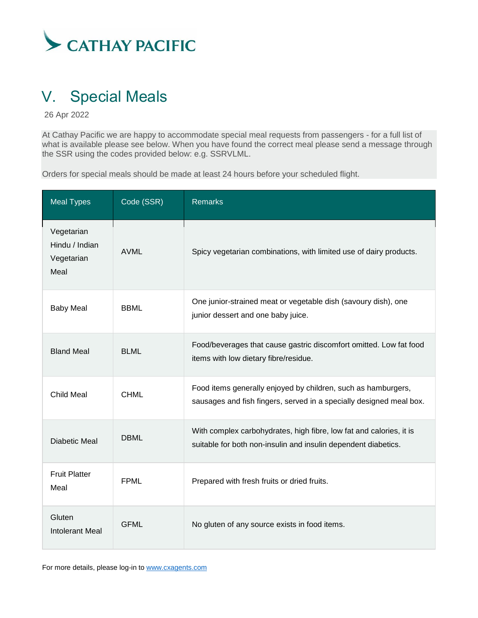

### <span id="page-5-0"></span>V. Special Meals

26 Apr 2022

At Cathay Pacific we are happy to accommodate special meal requests from passengers - for a full list of what is available please see below. When you have found the correct meal please send a message through the SSR using the codes provided below: e.g. SSRVLML.

Orders for special meals should be made at least 24 hours before your scheduled flight.

| <b>Meal Types</b>                                  | Code (SSR)  | <b>Remarks</b>                                                                                                                        |
|----------------------------------------------------|-------------|---------------------------------------------------------------------------------------------------------------------------------------|
| Vegetarian<br>Hindu / Indian<br>Vegetarian<br>Meal | <b>AVML</b> | Spicy vegetarian combinations, with limited use of dairy products.                                                                    |
| <b>Baby Meal</b>                                   | <b>BBML</b> | One junior-strained meat or vegetable dish (savoury dish), one<br>junior dessert and one baby juice.                                  |
| <b>Bland Meal</b>                                  | <b>BLML</b> | Food/beverages that cause gastric discomfort omitted. Low fat food<br>items with low dietary fibre/residue.                           |
| <b>Child Meal</b>                                  | <b>CHML</b> | Food items generally enjoyed by children, such as hamburgers,<br>sausages and fish fingers, served in a specially designed meal box.  |
| Diabetic Meal                                      | <b>DBML</b> | With complex carbohydrates, high fibre, low fat and calories, it is<br>suitable for both non-insulin and insulin dependent diabetics. |
| <b>Fruit Platter</b><br>Meal                       | <b>FPML</b> | Prepared with fresh fruits or dried fruits.                                                                                           |
| Gluten<br><b>Intolerant Meal</b>                   | <b>GFML</b> | No gluten of any source exists in food items.                                                                                         |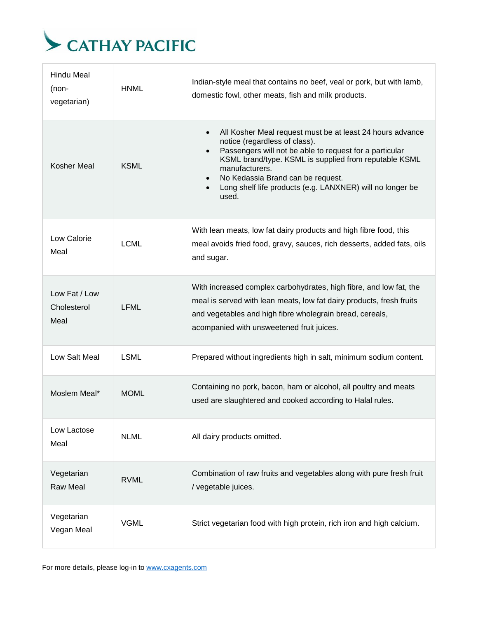

| <b>Hindu Meal</b><br>$(non-$<br>vegetarian) | <b>HNML</b> | Indian-style meal that contains no beef, veal or pork, but with lamb,<br>domestic fowl, other meats, fish and milk products.                                                                                                                                                                                                                                                                    |
|---------------------------------------------|-------------|-------------------------------------------------------------------------------------------------------------------------------------------------------------------------------------------------------------------------------------------------------------------------------------------------------------------------------------------------------------------------------------------------|
| Kosher Meal                                 | <b>KSML</b> | All Kosher Meal request must be at least 24 hours advance<br>$\bullet$<br>notice (regardless of class).<br>Passengers will not be able to request for a particular<br>$\bullet$<br>KSML brand/type. KSML is supplied from reputable KSML<br>manufacturers.<br>No Kedassia Brand can be request.<br>$\bullet$<br>Long shelf life products (e.g. LANXNER) will no longer be<br>$\bullet$<br>used. |
| Low Calorie<br>Meal                         | <b>LCML</b> | With lean meats, low fat dairy products and high fibre food, this<br>meal avoids fried food, gravy, sauces, rich desserts, added fats, oils<br>and sugar.                                                                                                                                                                                                                                       |
| Low Fat / Low<br>Cholesterol<br>Meal        | <b>LFML</b> | With increased complex carbohydrates, high fibre, and low fat, the<br>meal is served with lean meats, low fat dairy products, fresh fruits<br>and vegetables and high fibre wholegrain bread, cereals,<br>acompanied with unsweetened fruit juices.                                                                                                                                             |
| Low Salt Meal                               | <b>LSML</b> | Prepared without ingredients high in salt, minimum sodium content.                                                                                                                                                                                                                                                                                                                              |
| Moslem Meal*                                | <b>MOML</b> | Containing no pork, bacon, ham or alcohol, all poultry and meats<br>used are slaughtered and cooked according to Halal rules.                                                                                                                                                                                                                                                                   |
| Low Lactose<br>Meal                         | <b>NLML</b> | All dairy products omitted.                                                                                                                                                                                                                                                                                                                                                                     |
| Vegetarian<br><b>Raw Meal</b>               | <b>RVML</b> | Combination of raw fruits and vegetables along with pure fresh fruit<br>/ vegetable juices.                                                                                                                                                                                                                                                                                                     |
| Vegetarian<br>Vegan Meal                    | <b>VGML</b> | Strict vegetarian food with high protein, rich iron and high calcium.                                                                                                                                                                                                                                                                                                                           |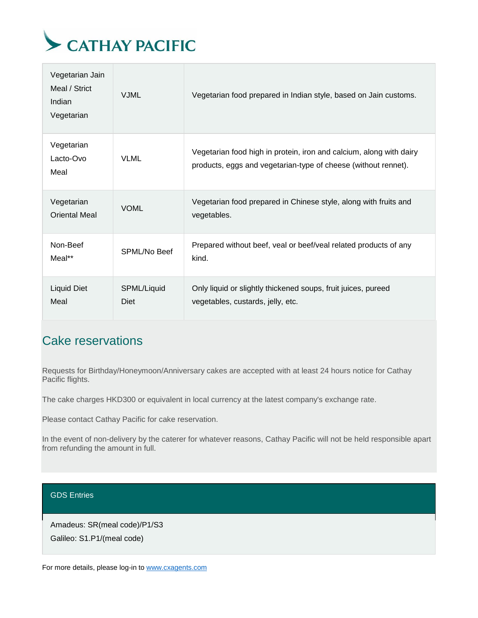

| Vegetarian Jain<br>Meal / Strict<br>Indian<br>Vegetarian | <b>VJML</b>         | Vegetarian food prepared in Indian style, based on Jain customs.                                                                      |
|----------------------------------------------------------|---------------------|---------------------------------------------------------------------------------------------------------------------------------------|
| Vegetarian<br>Lacto-Ovo<br>Meal                          | <b>VLML</b>         | Vegetarian food high in protein, iron and calcium, along with dairy<br>products, eggs and vegetarian-type of cheese (without rennet). |
| Vegetarian<br><b>Oriental Meal</b>                       | <b>VOML</b>         | Vegetarian food prepared in Chinese style, along with fruits and<br>vegetables.                                                       |
| Non-Beef<br>$Meal**$                                     | SPML/No Beef        | Prepared without beef, veal or beef/veal related products of any<br>kind.                                                             |
| <b>Liquid Diet</b><br>Meal                               | SPML/Liquid<br>Diet | Only liquid or slightly thickened soups, fruit juices, pureed<br>vegetables, custards, jelly, etc.                                    |

### Cake reservations

Requests for Birthday/Honeymoon/Anniversary cakes are accepted with at least 24 hours notice for Cathay Pacific flights.

The cake charges HKD300 or equivalent in local currency at the latest company's exchange rate.

Please contact Cathay Pacific for cake reservation.

In the event of non-delivery by the caterer for whatever reasons, Cathay Pacific will not be held responsible apart from refunding the amount in full.

GDS Entries

Amadeus: SR(meal code)/P1/S3 Galileo: S1.P1/(meal code)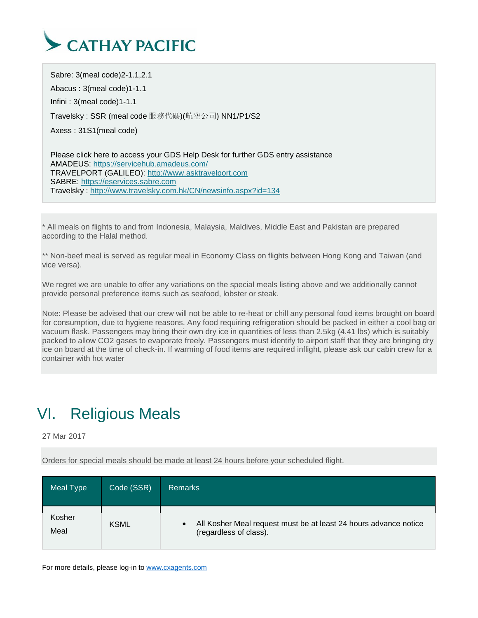

Sabre: 3(meal code)2-1.1,2.1 Abacus : 3(meal code)1-1.1 Infini : 3(meal code)1-1.1 Travelsky : SSR (meal code 服務代碼)(航空公司) NN1/P1/S2 Axess : 31S1(meal code)

Please click here to access your GDS Help Desk for further GDS entry assistance AMADEUS: <https://servicehub.amadeus.com/> TRAVELPORT (GALILEO): [http://www.asktravelport.com](http://www.asktravelport.com/) SABRE: [https://eservices.sabre.com](https://eservices.sabre.com/) Travelsky : <http://www.travelsky.com.hk/CN/newsinfo.aspx?id=134>

\* All meals on flights to and from Indonesia, Malaysia, Maldives, Middle East and Pakistan are prepared according to the Halal method.

\*\* Non-beef meal is served as regular meal in Economy Class on flights between Hong Kong and Taiwan (and vice versa).

We regret we are unable to offer any variations on the special meals listing above and we additionally cannot provide personal preference items such as seafood, lobster or steak.

Note: Please be advised that our crew will not be able to re-heat or chill any personal food items brought on board for consumption, due to hygiene reasons. Any food requiring refrigeration should be packed in either a cool bag or vacuum flask. Passengers may bring their own dry ice in quantities of less than 2.5kg (4.41 lbs) which is suitably packed to allow CO2 gases to evaporate freely. Passengers must identify to airport staff that they are bringing dry ice on board at the time of check-in. If warming of food items are required inflight, please ask our cabin crew for a container with hot water

### <span id="page-8-0"></span>VI. Religious Meals

27 Mar 2017

Orders for special meals should be made at least 24 hours before your scheduled flight.

| Meal Type      | Code (SSR)  | <b>Remarks</b>                                                                             |
|----------------|-------------|--------------------------------------------------------------------------------------------|
| Kosher<br>Meal | <b>KSML</b> | All Kosher Meal request must be at least 24 hours advance notice<br>(regardless of class). |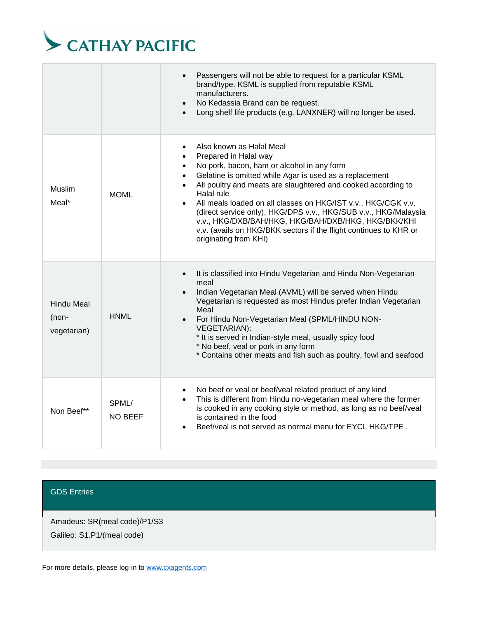

|                                           |                         | Passengers will not be able to request for a particular KSML<br>brand/type. KSML is supplied from reputable KSML<br>manufacturers.<br>No Kedassia Brand can be request.<br>$\bullet$<br>Long shelf life products (e.g. LANXNER) will no longer be used.                                                                                                                                                                                                                                                                                                                                             |
|-------------------------------------------|-------------------------|-----------------------------------------------------------------------------------------------------------------------------------------------------------------------------------------------------------------------------------------------------------------------------------------------------------------------------------------------------------------------------------------------------------------------------------------------------------------------------------------------------------------------------------------------------------------------------------------------------|
| <b>Muslim</b><br>Meal*                    | <b>MOML</b>             | Also known as Halal Meal<br>$\bullet$<br>Prepared in Halal way<br>$\bullet$<br>No pork, bacon, ham or alcohol in any form<br>$\bullet$<br>Gelatine is omitted while Agar is used as a replacement<br>$\bullet$<br>All poultry and meats are slaughtered and cooked according to<br>$\bullet$<br>Halal rule<br>All meals loaded on all classes on HKG/IST v.v., HKG/CGK v.v.<br>(direct service only), HKG/DPS v.v., HKG/SUB v.v., HKG/Malaysia<br>v.v., HKG/DXB/BAH/HKG, HKG/BAH/DXB/HKG, HKG/BKK/KHI<br>v.v. (avails on HKG/BKK sectors if the flight continues to KHR or<br>originating from KHI) |
| <b>Hindu Meal</b><br>(non-<br>vegetarian) | <b>HNML</b>             | It is classified into Hindu Vegetarian and Hindu Non-Vegetarian<br>$\bullet$<br>meal<br>Indian Vegetarian Meal (AVML) will be served when Hindu<br>Vegetarian is requested as most Hindus prefer Indian Vegetarian<br>Meal<br>For Hindu Non-Vegetarian Meal (SPML/HINDU NON-<br><b>VEGETARIAN):</b><br>* It is served in Indian-style meal, usually spicy food<br>* No beef, veal or pork in any form<br>* Contains other meats and fish such as poultry, fowl and seafood                                                                                                                          |
| Non Beef**                                | SPML/<br><b>NO BEEF</b> | No beef or veal or beef/veal related product of any kind<br>$\bullet$<br>This is different from Hindu no-vegetarian meal where the former<br>$\bullet$<br>is cooked in any cooking style or method, as long as no beef/veal<br>is contained in the food<br>Beef/yeal is not served as normal menu for EYCL HKG/TPE.                                                                                                                                                                                                                                                                                 |

GDS Entries

Amadeus: SR(meal code)/P1/S3

Galileo: S1.P1/(meal code)

For more details, please log-in t[o www.cxagents.com](http://www.cxagents.com/)